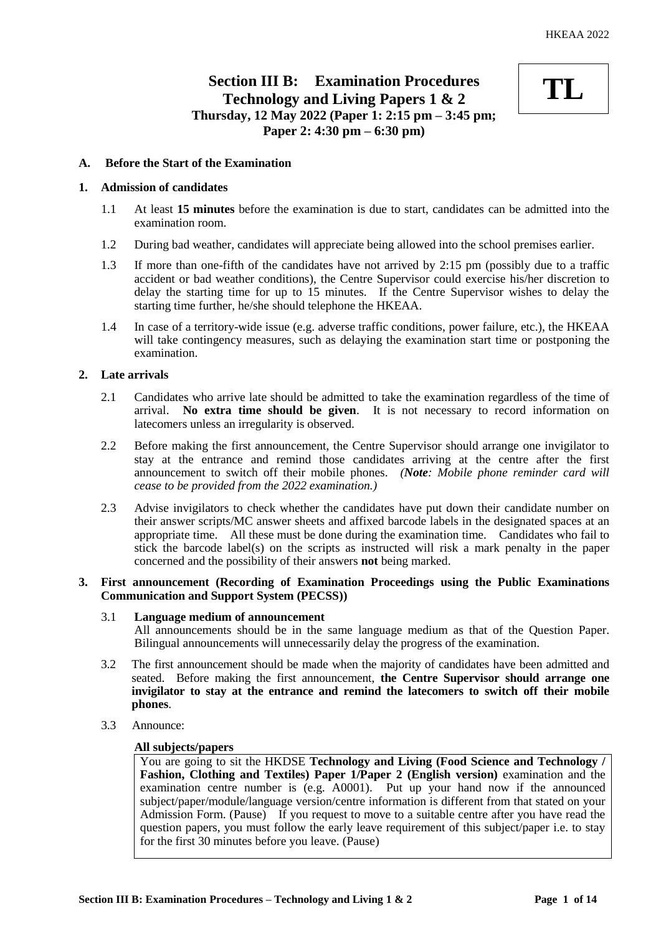# **Section III B: Examination Procedures Technology and Living Papers 1 & 2 Thursday, 12 May 2022 (Paper 1: 2:15 pm – 3:45 pm; Paper 2: 4:30 pm – 6:30 pm)**



# **A. Before the Start of the Examination**

# **1. Admission of candidates**

- 1.1 At least **15 minutes** before the examination is due to start, candidates can be admitted into the examination room.
- 1.2 During bad weather, candidates will appreciate being allowed into the school premises earlier.
- 1.3 If more than one-fifth of the candidates have not arrived by 2:15 pm (possibly due to a traffic accident or bad weather conditions), the Centre Supervisor could exercise his/her discretion to delay the starting time for up to 15 minutes. If the Centre Supervisor wishes to delay the starting time further, he/she should telephone the HKEAA.
- 1.4 In case of a territory-wide issue (e.g. adverse traffic conditions, power failure, etc.), the HKEAA will take contingency measures, such as delaying the examination start time or postponing the examination.

# **2. Late arrivals**

- 2.1 Candidates who arrive late should be admitted to take the examination regardless of the time of arrival. **No extra time should be given**. It is not necessary to record information on latecomers unless an irregularity is observed.
- 2.2 Before making the first announcement, the Centre Supervisor should arrange one invigilator to stay at the entrance and remind those candidates arriving at the centre after the first announcement to switch off their mobile phones. *(Note: Mobile phone reminder card will cease to be provided from the 2022 examination.)*
- 2.3 Advise invigilators to check whether the candidates have put down their candidate number on their answer scripts/MC answer sheets and affixed barcode labels in the designated spaces at an appropriate time. All these must be done during the examination time. Candidates who fail to stick the barcode label(s) on the scripts as instructed will risk a mark penalty in the paper concerned and the possibility of their answers **not** being marked.

# **3. First announcement (Recording of Examination Proceedings using the Public Examinations Communication and Support System (PECSS))**

# 3.1 **Language medium of announcement**

All announcements should be in the same language medium as that of the Question Paper. Bilingual announcements will unnecessarily delay the progress of the examination.

- 3.2 The first announcement should be made when the majority of candidates have been admitted and seated. Before making the first announcement, **the Centre Supervisor should arrange one invigilator to stay at the entrance and remind the latecomers to switch off their mobile phones**.
- 3.3 Announce:

# **All subjects/papers**

You are going to sit the HKDSE **Technology and Living (Food Science and Technology / Fashion, Clothing and Textiles) Paper 1/Paper 2 (English version)** examination and the examination centre number is (e.g. A0001). Put up your hand now if the announced subject/paper/module/language version/centre information is different from that stated on your Admission Form. (Pause) If you request to move to a suitable centre after you have read the question papers, you must follow the early leave requirement of this subject/paper i.e. to stay for the first 30 minutes before you leave. (Pause)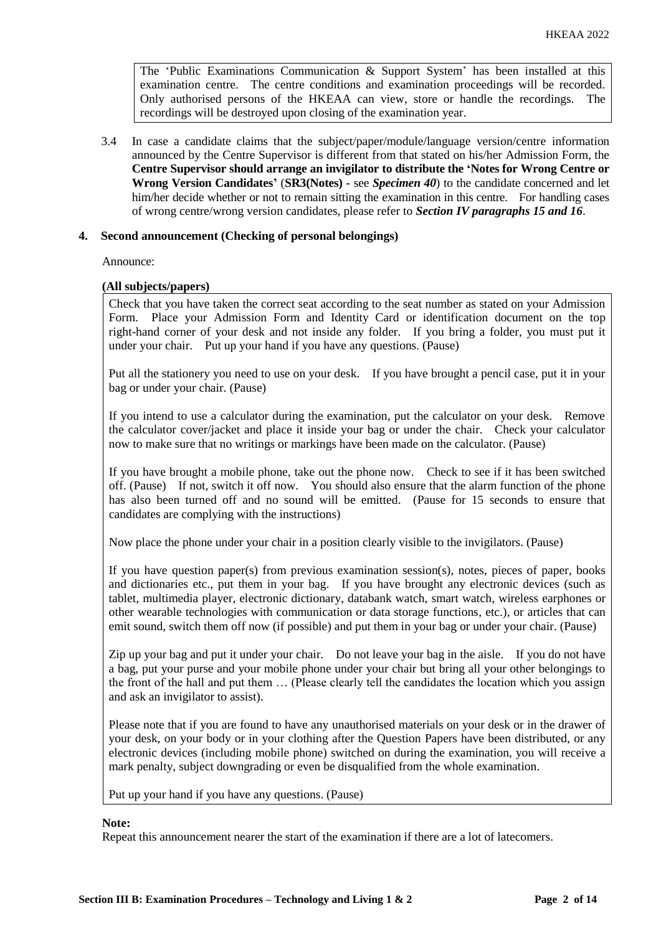The 'Public Examinations Communication  $\&$  Support System' has been installed at this examination centre. The centre conditions and examination proceedings will be recorded. Only authorised persons of the HKEAA can view, store or handle the recordings. The recordings will be destroyed upon closing of the examination year.

3.4 In case a candidate claims that the subject/paper/module/language version/centre information announced by the Centre Supervisor is different from that stated on his/her Admission Form, the **Centre Supervisor should arrange an invigilator to distribute the 'Notes for Wrong Centre or Wrong Version Candidates'** (**SR3(Notes) -** see *Specimen 40*) to the candidate concerned and let him/her decide whether or not to remain sitting the examination in this centre. For handling cases of wrong centre/wrong version candidates, please refer to *Section IV paragraphs 15 and 16*.

## **4. Second announcement (Checking of personal belongings)**

Announce:

## **(All subjects/papers)**

Check that you have taken the correct seat according to the seat number as stated on your Admission Form. Place your Admission Form and Identity Card or identification document on the top right-hand corner of your desk and not inside any folder. If you bring a folder, you must put it under your chair. Put up your hand if you have any questions. (Pause)

Put all the stationery you need to use on your desk. If you have brought a pencil case, put it in your bag or under your chair. (Pause)

If you intend to use a calculator during the examination, put the calculator on your desk. Remove the calculator cover/jacket and place it inside your bag or under the chair. Check your calculator now to make sure that no writings or markings have been made on the calculator. (Pause)

If you have brought a mobile phone, take out the phone now. Check to see if it has been switched off. (Pause) If not, switch it off now. You should also ensure that the alarm function of the phone has also been turned off and no sound will be emitted. (Pause for 15 seconds to ensure that candidates are complying with the instructions)

Now place the phone under your chair in a position clearly visible to the invigilators. (Pause)

If you have question paper(s) from previous examination session(s), notes, pieces of paper, books and dictionaries etc., put them in your bag. If you have brought any electronic devices (such as tablet, multimedia player, electronic dictionary, databank watch, smart watch, wireless earphones or other wearable technologies with communication or data storage functions, etc.), or articles that can emit sound, switch them off now (if possible) and put them in your bag or under your chair. (Pause)

Zip up your bag and put it under your chair. Do not leave your bag in the aisle. If you do not have a bag, put your purse and your mobile phone under your chair but bring all your other belongings to the front of the hall and put them … (Please clearly tell the candidates the location which you assign and ask an invigilator to assist).

Please note that if you are found to have any unauthorised materials on your desk or in the drawer of your desk, on your body or in your clothing after the Question Papers have been distributed, or any electronic devices (including mobile phone) switched on during the examination, you will receive a mark penalty, subject downgrading or even be disqualified from the whole examination.

Put up your hand if you have any questions. (Pause)

#### **Note:**

Repeat this announcement nearer the start of the examination if there are a lot of latecomers.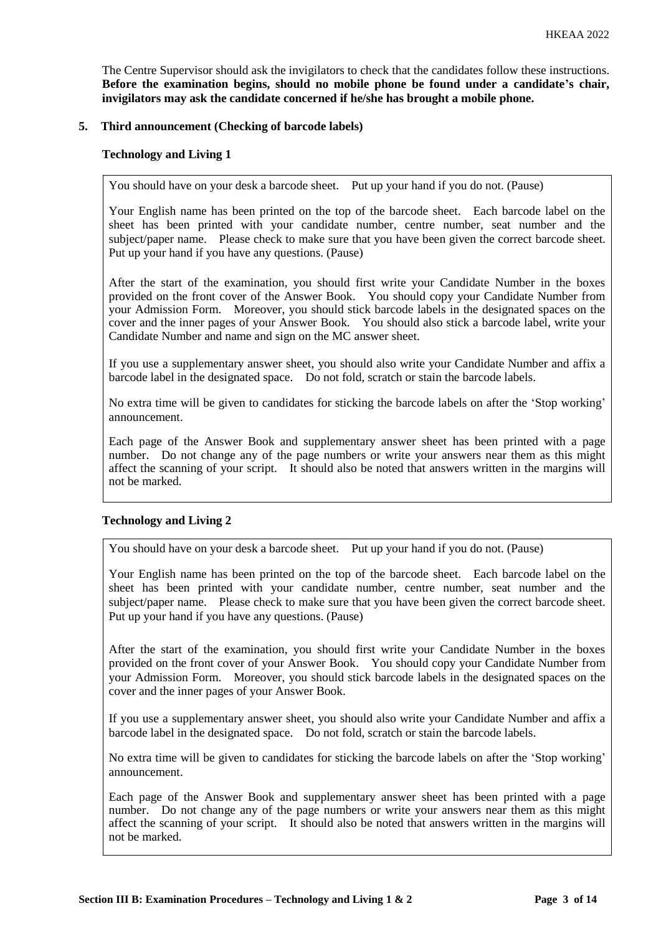The Centre Supervisor should ask the invigilators to check that the candidates follow these instructions. **Before the examination begins, should no mobile phone be found under a candidate's chair, invigilators may ask the candidate concerned if he/she has brought a mobile phone.**

# **5. Third announcement (Checking of barcode labels)**

## **Technology and Living 1**

You should have on your desk a barcode sheet. Put up your hand if you do not. (Pause)

Your English name has been printed on the top of the barcode sheet. Each barcode label on the sheet has been printed with your candidate number, centre number, seat number and the subject/paper name. Please check to make sure that you have been given the correct barcode sheet. Put up your hand if you have any questions. (Pause)

After the start of the examination, you should first write your Candidate Number in the boxes provided on the front cover of the Answer Book. You should copy your Candidate Number from your Admission Form. Moreover, you should stick barcode labels in the designated spaces on the cover and the inner pages of your Answer Book. You should also stick a barcode label, write your Candidate Number and name and sign on the MC answer sheet.

If you use a supplementary answer sheet, you should also write your Candidate Number and affix a barcode label in the designated space. Do not fold, scratch or stain the barcode labels.

No extra time will be given to candidates for sticking the barcode labels on after the 'Stop working' announcement.

Each page of the Answer Book and supplementary answer sheet has been printed with a page number. Do not change any of the page numbers or write your answers near them as this might affect the scanning of your script. It should also be noted that answers written in the margins will not be marked.

#### **Technology and Living 2**

You should have on your desk a barcode sheet. Put up your hand if you do not. (Pause)

Your English name has been printed on the top of the barcode sheet. Each barcode label on the sheet has been printed with your candidate number, centre number, seat number and the subject/paper name. Please check to make sure that you have been given the correct barcode sheet. Put up your hand if you have any questions. (Pause)

After the start of the examination, you should first write your Candidate Number in the boxes provided on the front cover of your Answer Book. You should copy your Candidate Number from your Admission Form. Moreover, you should stick barcode labels in the designated spaces on the cover and the inner pages of your Answer Book.

If you use a supplementary answer sheet, you should also write your Candidate Number and affix a barcode label in the designated space. Do not fold, scratch or stain the barcode labels.

No extra time will be given to candidates for sticking the barcode labels on after the 'Stop working' announcement.

Each page of the Answer Book and supplementary answer sheet has been printed with a page number. Do not change any of the page numbers or write your answers near them as this might affect the scanning of your script. It should also be noted that answers written in the margins will not be marked.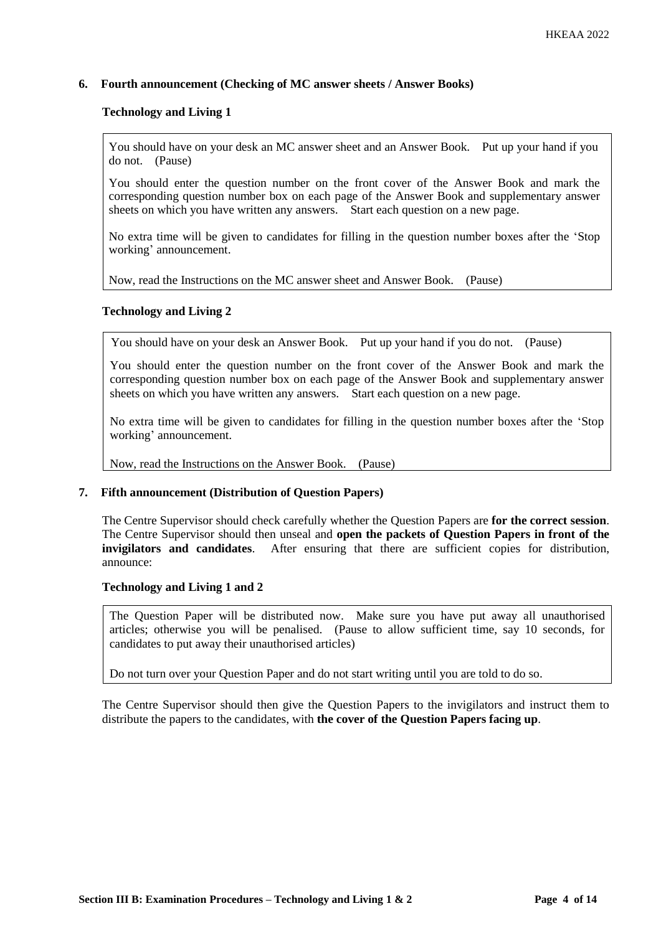# **6. Fourth announcement (Checking of MC answer sheets / Answer Books)**

## **Technology and Living 1**

You should have on your desk an MC answer sheet and an Answer Book. Put up your hand if you do not. (Pause)

You should enter the question number on the front cover of the Answer Book and mark the corresponding question number box on each page of the Answer Book and supplementary answer sheets on which you have written any answers. Start each question on a new page.

No extra time will be given to candidates for filling in the question number boxes after the 'Stop working' announcement.

Now, read the Instructions on the MC answer sheet and Answer Book. (Pause)

## **Technology and Living 2**

You should have on your desk an Answer Book. Put up your hand if you do not. (Pause)

You should enter the question number on the front cover of the Answer Book and mark the corresponding question number box on each page of the Answer Book and supplementary answer sheets on which you have written any answers. Start each question on a new page.

No extra time will be given to candidates for filling in the question number boxes after the 'Stop working' announcement.

Now, read the Instructions on the Answer Book. (Pause)

## **7. Fifth announcement (Distribution of Question Papers)**

The Centre Supervisor should check carefully whether the Question Papers are **for the correct session**. The Centre Supervisor should then unseal and **open the packets of Question Papers in front of the invigilators and candidates**. After ensuring that there are sufficient copies for distribution, announce:

#### **Technology and Living 1 and 2**

The Question Paper will be distributed now. Make sure you have put away all unauthorised articles; otherwise you will be penalised. (Pause to allow sufficient time, say 10 seconds, for candidates to put away their unauthorised articles)

Do not turn over your Question Paper and do not start writing until you are told to do so.

The Centre Supervisor should then give the Question Papers to the invigilators and instruct them to distribute the papers to the candidates, with **the cover of the Question Papers facing up**.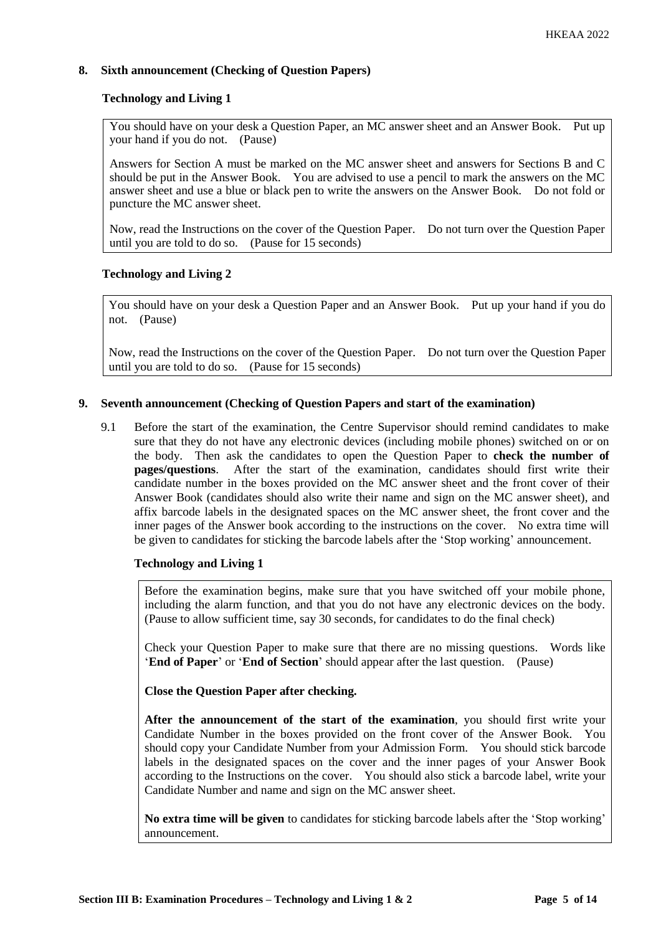# **8. Sixth announcement (Checking of Question Papers)**

# **Technology and Living 1**

You should have on your desk a Question Paper, an MC answer sheet and an Answer Book. Put up your hand if you do not. (Pause)

Answers for Section A must be marked on the MC answer sheet and answers for Sections B and C should be put in the Answer Book. You are advised to use a pencil to mark the answers on the MC answer sheet and use a blue or black pen to write the answers on the Answer Book. Do not fold or puncture the MC answer sheet.

Now, read the Instructions on the cover of the Question Paper. Do not turn over the Question Paper until you are told to do so. (Pause for 15 seconds)

## **Technology and Living 2**

You should have on your desk a Question Paper and an Answer Book. Put up your hand if you do not. (Pause)

Now, read the Instructions on the cover of the Question Paper. Do not turn over the Question Paper until you are told to do so. (Pause for 15 seconds)

## **9. Seventh announcement (Checking of Question Papers and start of the examination)**

9.1 Before the start of the examination, the Centre Supervisor should remind candidates to make sure that they do not have any electronic devices (including mobile phones) switched on or on the body. Then ask the candidates to open the Question Paper to **check the number of pages/questions**. After the start of the examination, candidates should first write their candidate number in the boxes provided on the MC answer sheet and the front cover of their Answer Book (candidates should also write their name and sign on the MC answer sheet), and affix barcode labels in the designated spaces on the MC answer sheet, the front cover and the inner pages of the Answer book according to the instructions on the cover. No extra time will be given to candidates for sticking the barcode labels after the 'Stop working' announcement.

# **Technology and Living 1**

Before the examination begins, make sure that you have switched off your mobile phone, including the alarm function, and that you do not have any electronic devices on the body. (Pause to allow sufficient time, say 30 seconds, for candidates to do the final check)

Check your Question Paper to make sure that there are no missing questions. Words like '**End of Paper**' or '**End of Section**' should appear after the last question. (Pause)

**Close the Question Paper after checking.**

**After the announcement of the start of the examination**, you should first write your Candidate Number in the boxes provided on the front cover of the Answer Book. You should copy your Candidate Number from your Admission Form. You should stick barcode labels in the designated spaces on the cover and the inner pages of your Answer Book according to the Instructions on the cover. You should also stick a barcode label, write your Candidate Number and name and sign on the MC answer sheet.

**No extra time will be given** to candidates for sticking barcode labels after the 'Stop working' announcement.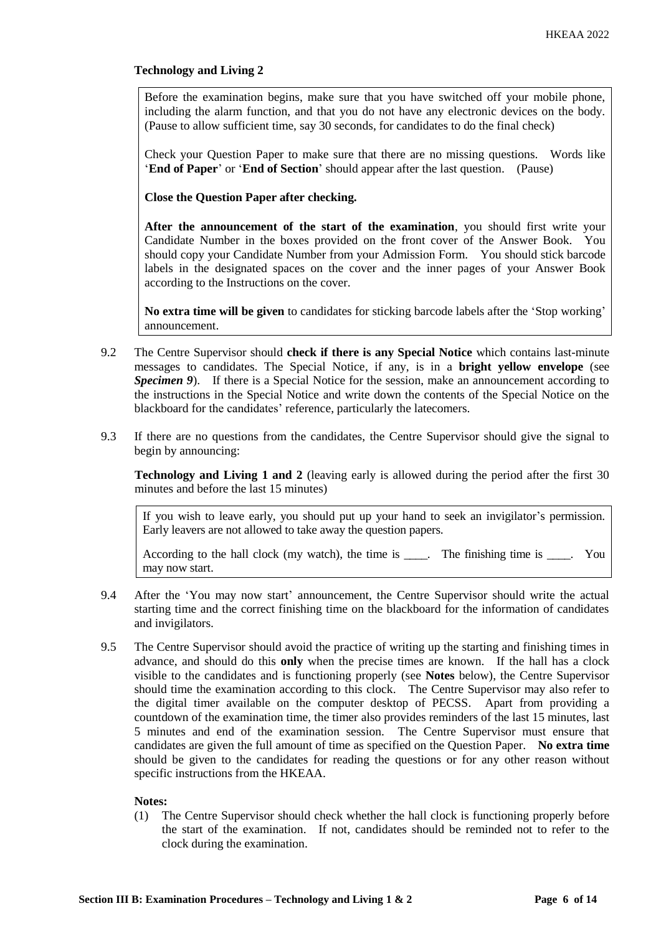# **Technology and Living 2**

Before the examination begins, make sure that you have switched off your mobile phone, including the alarm function, and that you do not have any electronic devices on the body. (Pause to allow sufficient time, say 30 seconds, for candidates to do the final check)

Check your Question Paper to make sure that there are no missing questions. Words like '**End of Paper**' or '**End of Section**' should appear after the last question. (Pause)

**Close the Question Paper after checking.**

**After the announcement of the start of the examination**, you should first write your Candidate Number in the boxes provided on the front cover of the Answer Book. You should copy your Candidate Number from your Admission Form. You should stick barcode labels in the designated spaces on the cover and the inner pages of your Answer Book according to the Instructions on the cover.

**No extra time will be given** to candidates for sticking barcode labels after the 'Stop working' announcement.

- 9.2 The Centre Supervisor should **check if there is any Special Notice** which contains last-minute messages to candidates. The Special Notice, if any, is in a **bright yellow envelope** (see *Specimen 9*). If there is a Special Notice for the session, make an announcement according to the instructions in the Special Notice and write down the contents of the Special Notice on the blackboard for the candidates' reference, particularly the latecomers.
- 9.3 If there are no questions from the candidates, the Centre Supervisor should give the signal to begin by announcing:

**Technology and Living 1 and 2** (leaving early is allowed during the period after the first 30 minutes and before the last 15 minutes)

If you wish to leave early, you should put up your hand to seek an invigilator's permission. Early leavers are not allowed to take away the question papers.

According to the hall clock (my watch), the time is \_\_\_\_. The finishing time is \_\_\_\_. You may now start.

- 9.4 After the 'You may now start' announcement, the Centre Supervisor should write the actual starting time and the correct finishing time on the blackboard for the information of candidates and invigilators.
- 9.5 The Centre Supervisor should avoid the practice of writing up the starting and finishing times in advance, and should do this **only** when the precise times are known. If the hall has a clock visible to the candidates and is functioning properly (see **Notes** below), the Centre Supervisor should time the examination according to this clock. The Centre Supervisor may also refer to the digital timer available on the computer desktop of PECSS. Apart from providing a countdown of the examination time, the timer also provides reminders of the last 15 minutes, last 5 minutes and end of the examination session. The Centre Supervisor must ensure that candidates are given the full amount of time as specified on the Question Paper. **No extra time** should be given to the candidates for reading the questions or for any other reason without specific instructions from the HKEAA.

## **Notes:**

(1) The Centre Supervisor should check whether the hall clock is functioning properly before the start of the examination. If not, candidates should be reminded not to refer to the clock during the examination.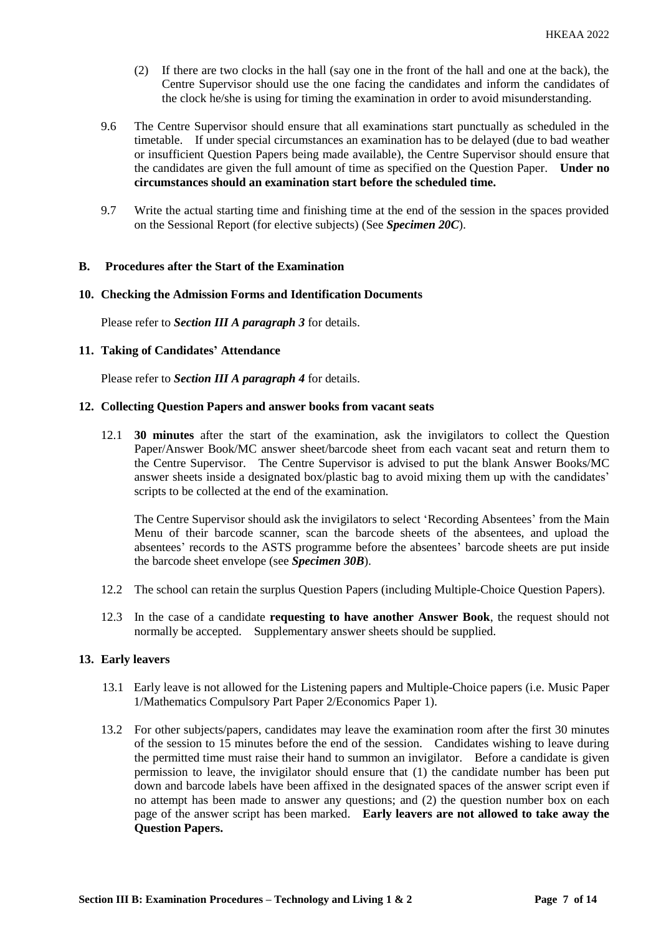- (2) If there are two clocks in the hall (say one in the front of the hall and one at the back), the Centre Supervisor should use the one facing the candidates and inform the candidates of the clock he/she is using for timing the examination in order to avoid misunderstanding.
- 9.6 The Centre Supervisor should ensure that all examinations start punctually as scheduled in the timetable. If under special circumstances an examination has to be delayed (due to bad weather or insufficient Question Papers being made available), the Centre Supervisor should ensure that the candidates are given the full amount of time as specified on the Question Paper. **Under no circumstances should an examination start before the scheduled time.**
- 9.7 Write the actual starting time and finishing time at the end of the session in the spaces provided on the Sessional Report (for elective subjects) (See *Specimen 20C*).

#### **B. Procedures after the Start of the Examination**

#### **10. Checking the Admission Forms and Identification Documents**

Please refer to *Section III A paragraph 3* for details.

#### **11. Taking of Candidates' Attendance**

Please refer to *Section III A paragraph 4* for details.

#### **12. Collecting Question Papers and answer books from vacant seats**

12.1 **30 minutes** after the start of the examination, ask the invigilators to collect the Question Paper/Answer Book/MC answer sheet/barcode sheet from each vacant seat and return them to the Centre Supervisor. The Centre Supervisor is advised to put the blank Answer Books/MC answer sheets inside a designated box/plastic bag to avoid mixing them up with the candidates' scripts to be collected at the end of the examination.

The Centre Supervisor should ask the invigilators to select 'Recording Absentees' from the Main Menu of their barcode scanner, scan the barcode sheets of the absentees, and upload the absentees' records to the ASTS programme before the absentees' barcode sheets are put inside the barcode sheet envelope (see *Specimen 30B*).

- 12.2 The school can retain the surplus Question Papers (including Multiple-Choice Question Papers).
- 12.3 In the case of a candidate **requesting to have another Answer Book**, the request should not normally be accepted. Supplementary answer sheets should be supplied.

#### **13. Early leavers**

- 13.1 Early leave is not allowed for the Listening papers and Multiple-Choice papers (i.e. Music Paper 1/Mathematics Compulsory Part Paper 2/Economics Paper 1).
- 13.2 For other subjects/papers, candidates may leave the examination room after the first 30 minutes of the session to 15 minutes before the end of the session. Candidates wishing to leave during the permitted time must raise their hand to summon an invigilator. Before a candidate is given permission to leave, the invigilator should ensure that (1) the candidate number has been put down and barcode labels have been affixed in the designated spaces of the answer script even if no attempt has been made to answer any questions; and (2) the question number box on each page of the answer script has been marked. **Early leavers are not allowed to take away the Question Papers.**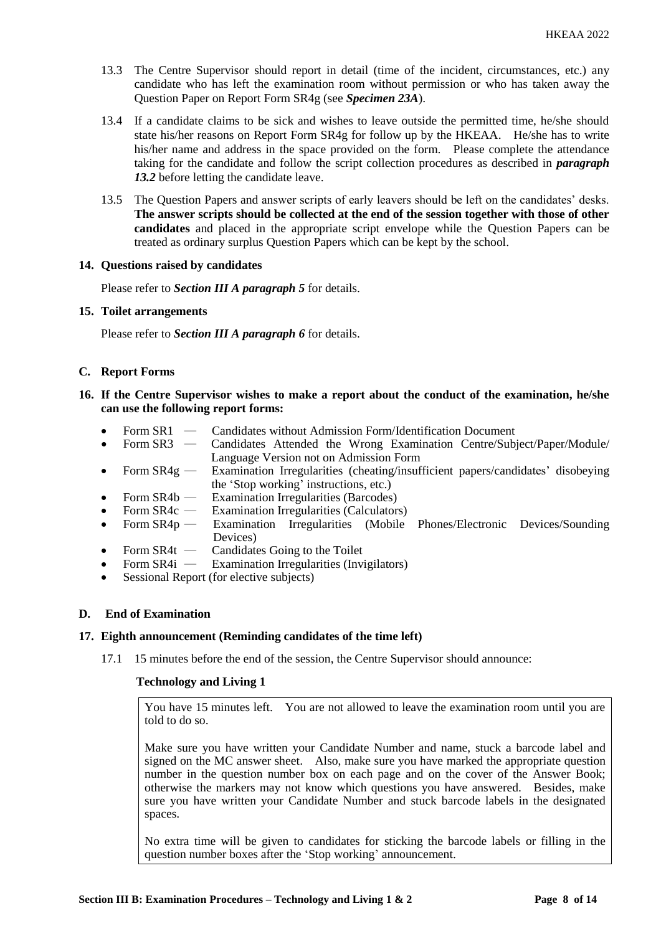- 13.3 The Centre Supervisor should report in detail (time of the incident, circumstances, etc.) any candidate who has left the examination room without permission or who has taken away the Question Paper on Report Form SR4g (see *Specimen 23A*).
- 13.4 If a candidate claims to be sick and wishes to leave outside the permitted time, he/she should state his/her reasons on Report Form SR4g for follow up by the HKEAA. He/she has to write his/her name and address in the space provided on the form. Please complete the attendance taking for the candidate and follow the script collection procedures as described in *paragraph 13.2* before letting the candidate leave.
- 13.5 The Question Papers and answer scripts of early leavers should be left on the candidates' desks. **The answer scripts should be collected at the end of the session together with those of other candidates** and placed in the appropriate script envelope while the Question Papers can be treated as ordinary surplus Question Papers which can be kept by the school.

## **14. Questions raised by candidates**

Please refer to *Section III A paragraph 5* for details.

#### **15. Toilet arrangements**

Please refer to *Section III A paragraph 6* for details.

## **C. Report Forms**

- **16. If the Centre Supervisor wishes to make a report about the conduct of the examination, he/she can use the following report forms:**
	- Form SR1 Candidates without Admission Form/Identification Document<br>• Form SR3 Candidates Attended the Wrong Examination Centre/Sub
	- Form SR3 Candidates Attended the Wrong Examination Centre/Subject/Paper/Module/ Language Version not on Admission Form
	- Form  $SR4g$  Examination Irregularities (cheating/insufficient papers/candidates' disobeying the 'Stop working' instructions, etc.)
	- Form  $SR4b$  Examination Irregularities (Barcodes)
	-
	- Form SR4c Examination Irregularities (Calculators)<br>Form SR4p Examination Irregularities (Mobile • Form SR4p — Examination Irregularities (Mobile Phones/Electronic Devices/Sounding Devices)
	- Form SR4t Candidates Going to the Toilet<br>Form SR4i Examination Irregularities (Invi
	- **Examination Irregularities (Invigilators)**
	- Sessional Report (for elective subjects)

# **D. End of Examination**

# **17. Eighth announcement (Reminding candidates of the time left)**

17.1 15 minutes before the end of the session, the Centre Supervisor should announce:

#### **Technology and Living 1**

You have 15 minutes left. You are not allowed to leave the examination room until you are told to do so.

Make sure you have written your Candidate Number and name, stuck a barcode label and signed on the MC answer sheet. Also, make sure you have marked the appropriate question number in the question number box on each page and on the cover of the Answer Book; otherwise the markers may not know which questions you have answered. Besides, make sure you have written your Candidate Number and stuck barcode labels in the designated spaces.

No extra time will be given to candidates for sticking the barcode labels or filling in the question number boxes after the 'Stop working' announcement.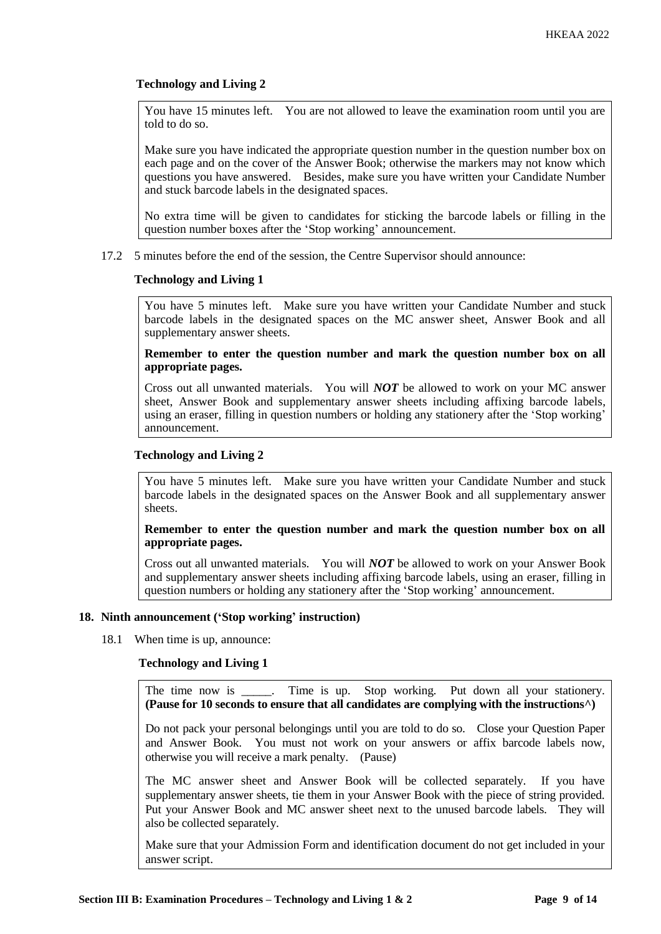# **Technology and Living 2**

You have 15 minutes left. You are not allowed to leave the examination room until you are told to do so.

Make sure you have indicated the appropriate question number in the question number box on each page and on the cover of the Answer Book; otherwise the markers may not know which questions you have answered. Besides, make sure you have written your Candidate Number and stuck barcode labels in the designated spaces.

No extra time will be given to candidates for sticking the barcode labels or filling in the question number boxes after the 'Stop working' announcement.

17.2 5 minutes before the end of the session, the Centre Supervisor should announce:

# **Technology and Living 1**

You have 5 minutes left. Make sure you have written your Candidate Number and stuck barcode labels in the designated spaces on the MC answer sheet, Answer Book and all supplementary answer sheets.

**Remember to enter the question number and mark the question number box on all appropriate pages.** 

Cross out all unwanted materials. You will *NOT* be allowed to work on your MC answer sheet, Answer Book and supplementary answer sheets including affixing barcode labels, using an eraser, filling in question numbers or holding any stationery after the 'Stop working' announcement.

# **Technology and Living 2**

You have 5 minutes left. Make sure you have written your Candidate Number and stuck barcode labels in the designated spaces on the Answer Book and all supplementary answer sheets.

## **Remember to enter the question number and mark the question number box on all appropriate pages.**

Cross out all unwanted materials. You will *NOT* be allowed to work on your Answer Book and supplementary answer sheets including affixing barcode labels, using an eraser, filling in question numbers or holding any stationery after the 'Stop working' announcement.

#### **18. Ninth announcement ('Stop working' instruction)**

18.1 When time is up, announce:

# **Technology and Living 1**

The time now is Time is up. Stop working. Put down all your stationery. **(Pause for 10 seconds to ensure that all candidates are complying with the instructions^)**

Do not pack your personal belongings until you are told to do so. Close your Question Paper and Answer Book. You must not work on your answers or affix barcode labels now, otherwise you will receive a mark penalty. (Pause)

The MC answer sheet and Answer Book will be collected separately. If you have supplementary answer sheets, tie them in your Answer Book with the piece of string provided. Put your Answer Book and MC answer sheet next to the unused barcode labels. They will also be collected separately.

Make sure that your Admission Form and identification document do not get included in your answer script.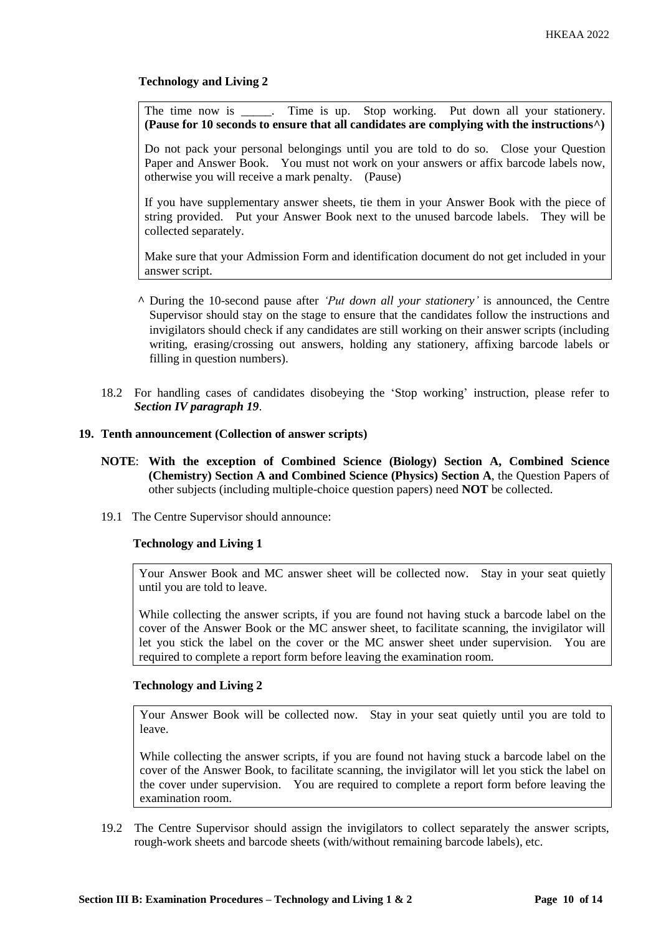**Technology and Living 2**

The time now is \_\_\_\_\_. Time is up. Stop working. Put down all your stationery. **(Pause for 10 seconds to ensure that all candidates are complying with the instructions^)**

Do not pack your personal belongings until you are told to do so. Close your Question Paper and Answer Book. You must not work on your answers or affix barcode labels now, otherwise you will receive a mark penalty. (Pause)

If you have supplementary answer sheets, tie them in your Answer Book with the piece of string provided. Put your Answer Book next to the unused barcode labels. They will be collected separately.

Make sure that your Admission Form and identification document do not get included in your answer script.

- **^** During the 10-second pause after *'Put down all your stationery'* is announced, the Centre Supervisor should stay on the stage to ensure that the candidates follow the instructions and invigilators should check if any candidates are still working on their answer scripts (including writing, erasing/crossing out answers, holding any stationery, affixing barcode labels or filling in question numbers).
- 18.2 For handling cases of candidates disobeying the 'Stop working' instruction, please refer to *Section IV paragraph 19*.

## **19. Tenth announcement (Collection of answer scripts)**

- **NOTE**: **With the exception of Combined Science (Biology) Section A, Combined Science (Chemistry) Section A and Combined Science (Physics) Section A**, the Question Papers of other subjects (including multiple-choice question papers) need **NOT** be collected.
- 19.1 The Centre Supervisor should announce:

# **Technology and Living 1**

Your Answer Book and MC answer sheet will be collected now. Stay in your seat quietly until you are told to leave.

While collecting the answer scripts, if you are found not having stuck a barcode label on the cover of the Answer Book or the MC answer sheet, to facilitate scanning, the invigilator will let you stick the label on the cover or the MC answer sheet under supervision. You are required to complete a report form before leaving the examination room.

## **Technology and Living 2**

Your Answer Book will be collected now. Stay in your seat quietly until you are told to leave.

While collecting the answer scripts, if you are found not having stuck a barcode label on the cover of the Answer Book, to facilitate scanning, the invigilator will let you stick the label on the cover under supervision. You are required to complete a report form before leaving the examination room.

19.2 The Centre Supervisor should assign the invigilators to collect separately the answer scripts, rough-work sheets and barcode sheets (with/without remaining barcode labels), etc.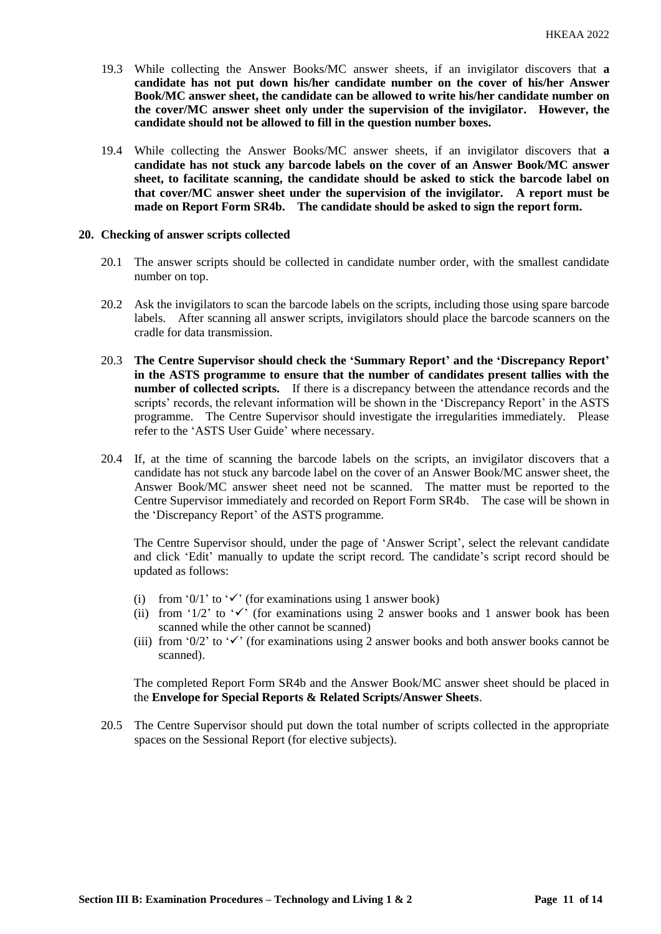- 19.3 While collecting the Answer Books/MC answer sheets, if an invigilator discovers that **a candidate has not put down his/her candidate number on the cover of his/her Answer Book/MC answer sheet, the candidate can be allowed to write his/her candidate number on the cover/MC answer sheet only under the supervision of the invigilator. However, the candidate should not be allowed to fill in the question number boxes.**
- 19.4 While collecting the Answer Books/MC answer sheets, if an invigilator discovers that **a candidate has not stuck any barcode labels on the cover of an Answer Book/MC answer sheet, to facilitate scanning, the candidate should be asked to stick the barcode label on that cover/MC answer sheet under the supervision of the invigilator. A report must be made on Report Form SR4b. The candidate should be asked to sign the report form.**

#### **20. Checking of answer scripts collected**

- 20.1 The answer scripts should be collected in candidate number order, with the smallest candidate number on top.
- 20.2 Ask the invigilators to scan the barcode labels on the scripts, including those using spare barcode labels. After scanning all answer scripts, invigilators should place the barcode scanners on the cradle for data transmission.
- 20.3 **The Centre Supervisor should check the 'Summary Report' and the 'Discrepancy Report' in the ASTS programme to ensure that the number of candidates present tallies with the number of collected scripts.** If there is a discrepancy between the attendance records and the scripts' records, the relevant information will be shown in the 'Discrepancy Report' in the ASTS programme. The Centre Supervisor should investigate the irregularities immediately. Please refer to the 'ASTS User Guide' where necessary.
- 20.4 If, at the time of scanning the barcode labels on the scripts, an invigilator discovers that a candidate has not stuck any barcode label on the cover of an Answer Book/MC answer sheet, the Answer Book/MC answer sheet need not be scanned. The matter must be reported to the Centre Supervisor immediately and recorded on Report Form SR4b. The case will be shown in the 'Discrepancy Report' of the ASTS programme.

The Centre Supervisor should, under the page of 'Answer Script', select the relevant candidate and click 'Edit' manually to update the script record. The candidate's script record should be updated as follows:

- (i) from '0/1' to ' $\checkmark$ ' (for examinations using 1 answer book)
- (ii) from '1/2' to ' $\checkmark$ ' (for examinations using 2 answer books and 1 answer book has been scanned while the other cannot be scanned)
- (iii) from '0/2' to ' $\checkmark$ ' (for examinations using 2 answer books and both answer books cannot be scanned).

The completed Report Form SR4b and the Answer Book/MC answer sheet should be placed in the **Envelope for Special Reports & Related Scripts/Answer Sheets**.

20.5 The Centre Supervisor should put down the total number of scripts collected in the appropriate spaces on the Sessional Report (for elective subjects).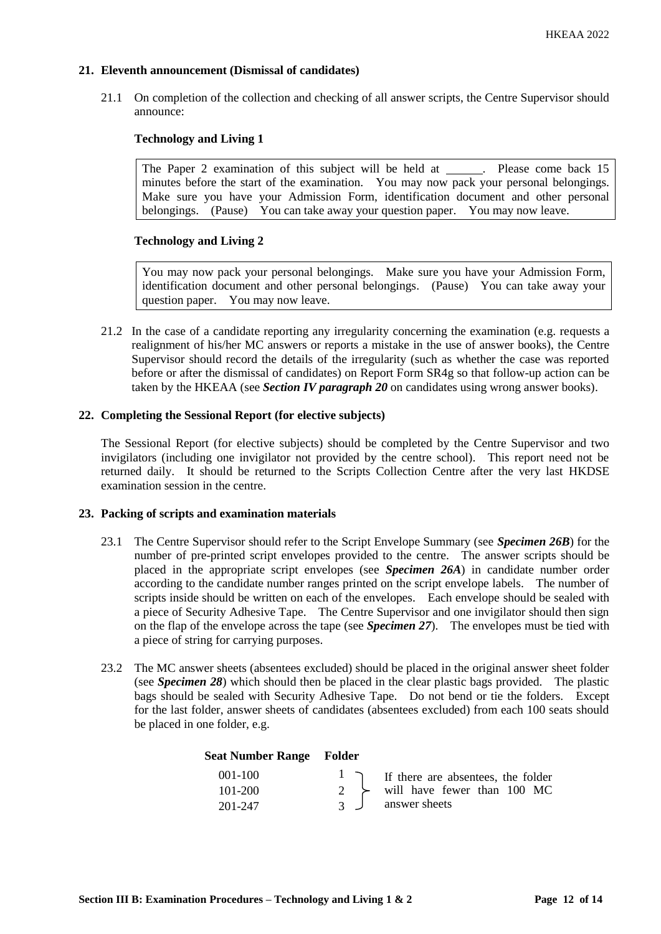# **21. Eleventh announcement (Dismissal of candidates)**

21.1 On completion of the collection and checking of all answer scripts, the Centre Supervisor should announce:

# **Technology and Living 1**

The Paper 2 examination of this subject will be held at . Please come back 15 minutes before the start of the examination. You may now pack your personal belongings. Make sure you have your Admission Form, identification document and other personal belongings. (Pause) You can take away your question paper. You may now leave.

## **Technology and Living 2**

You may now pack your personal belongings. Make sure you have your Admission Form, identification document and other personal belongings. (Pause) You can take away your question paper. You may now leave.

21.2 In the case of a candidate reporting any irregularity concerning the examination (e.g. requests a realignment of his/her MC answers or reports a mistake in the use of answer books), the Centre Supervisor should record the details of the irregularity (such as whether the case was reported before or after the dismissal of candidates) on Report Form SR4g so that follow-up action can be taken by the HKEAA (see *Section IV paragraph 20* on candidates using wrong answer books).

## **22. Completing the Sessional Report (for elective subjects)**

The Sessional Report (for elective subjects) should be completed by the Centre Supervisor and two invigilators (including one invigilator not provided by the centre school). This report need not be returned daily. It should be returned to the Scripts Collection Centre after the very last HKDSE examination session in the centre.

#### **23. Packing of scripts and examination materials**

- 23.1 The Centre Supervisor should refer to the Script Envelope Summary (see *Specimen 26B*) for the number of pre-printed script envelopes provided to the centre. The answer scripts should be placed in the appropriate script envelopes (see *Specimen 26A*) in candidate number order according to the candidate number ranges printed on the script envelope labels. The number of scripts inside should be written on each of the envelopes. Each envelope should be sealed with a piece of Security Adhesive Tape. The Centre Supervisor and one invigilator should then sign on the flap of the envelope across the tape (see *Specimen 27*). The envelopes must be tied with a piece of string for carrying purposes.
- 23.2 The MC answer sheets (absentees excluded) should be placed in the original answer sheet folder (see *Specimen 28*) which should then be placed in the clear plastic bags provided. The plastic bags should be sealed with Security Adhesive Tape. Do not bend or tie the folders. Except for the last folder, answer sheets of candidates (absentees excluded) from each 100 seats should be placed in one folder, e.g.

#### **Seat Number Range Folder**

| $001 - 100$ | $\frac{1}{\sqrt{1}}$ If there are absentees, the folder |
|-------------|---------------------------------------------------------|
| 101-200     | 2 $\rightarrow$ will have fewer than 100 MC             |
| 201-247     | 3 J answer sheets                                       |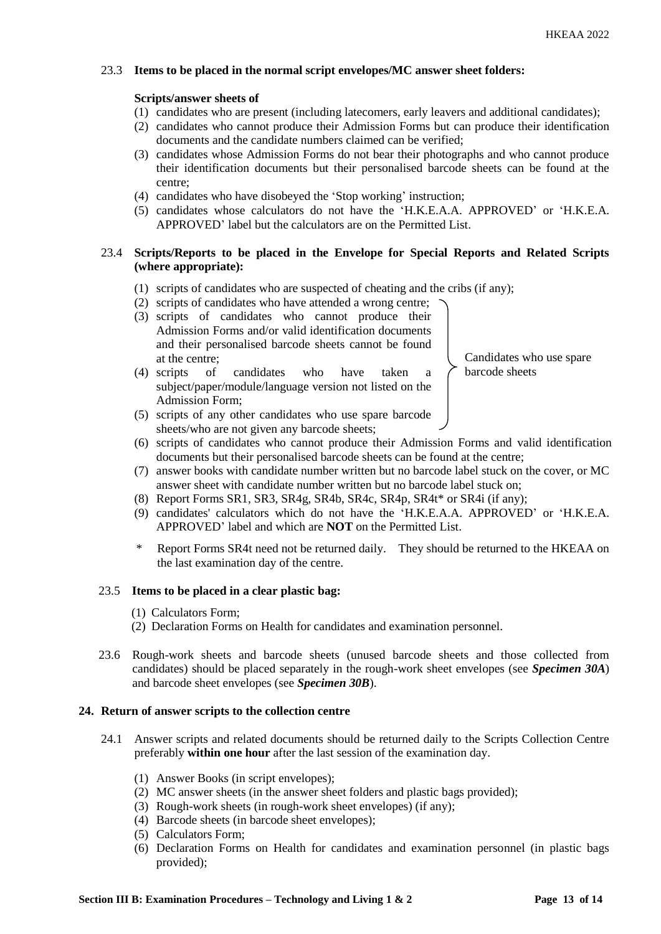# 23.3 **Items to be placed in the normal script envelopes/MC answer sheet folders:**

## **Scripts/answer sheets of**

- (1) candidates who are present (including latecomers, early leavers and additional candidates);
- (2) candidates who cannot produce their Admission Forms but can produce their identification documents and the candidate numbers claimed can be verified;
- (3) candidates whose Admission Forms do not bear their photographs and who cannot produce their identification documents but their personalised barcode sheets can be found at the centre;
- (4) candidates who have disobeyed the 'Stop working' instruction;
- (5) candidates whose calculators do not have the 'H.K.E.A.A. APPROVED' or 'H.K.E.A. APPROVED' label but the calculators are on the Permitted List.

# 23.4 **Scripts/Reports to be placed in the Envelope for Special Reports and Related Scripts (where appropriate):**

- (1) scripts of candidates who are suspected of cheating and the cribs (if any);
- (2) scripts of candidates who have attended a wrong centre;
- (3) scripts of candidates who cannot produce their Admission Forms and/or valid identification documents and their personalised barcode sheets cannot be found at the centre;

(4) scripts of candidates who have taken a subject/paper/module/language version not listed on the

- Candidates who use spare barcode sheets
- Admission Form; (5) scripts of any other candidates who use spare barcode sheets/who are not given any barcode sheets;
- (6) scripts of candidates who cannot produce their Admission Forms and valid identification documents but their personalised barcode sheets can be found at the centre;
- (7) answer books with candidate number written but no barcode label stuck on the cover, or MC answer sheet with candidate number written but no barcode label stuck on;
- (8) Report Forms SR1, SR3, SR4g, SR4b, SR4c, SR4p, SR4t\* or SR4i (if any);
- (9) candidates' calculators which do not have the 'H.K.E.A.A. APPROVED' or 'H.K.E.A. APPROVED' label and which are **NOT** on the Permitted List.
- Report Forms SR4t need not be returned daily. They should be returned to the HKEAA on the last examination day of the centre.

#### 23.5 **Items to be placed in a clear plastic bag:**

- (1) Calculators Form;
- (2) Declaration Forms on Health for candidates and examination personnel.
- 23.6 Rough-work sheets and barcode sheets (unused barcode sheets and those collected from candidates) should be placed separately in the rough-work sheet envelopes (see *Specimen 30A*) and barcode sheet envelopes (see *Specimen 30B*).

## **24. Return of answer scripts to the collection centre**

- 24.1 Answer scripts and related documents should be returned daily to the Scripts Collection Centre preferably **within one hour** after the last session of the examination day.
	- (1) Answer Books (in script envelopes);
	- (2) MC answer sheets (in the answer sheet folders and plastic bags provided);
	- (3) Rough-work sheets (in rough-work sheet envelopes) (if any);
	- (4) Barcode sheets (in barcode sheet envelopes);
	- (5) Calculators Form;
	- (6) Declaration Forms on Health for candidates and examination personnel (in plastic bags provided);